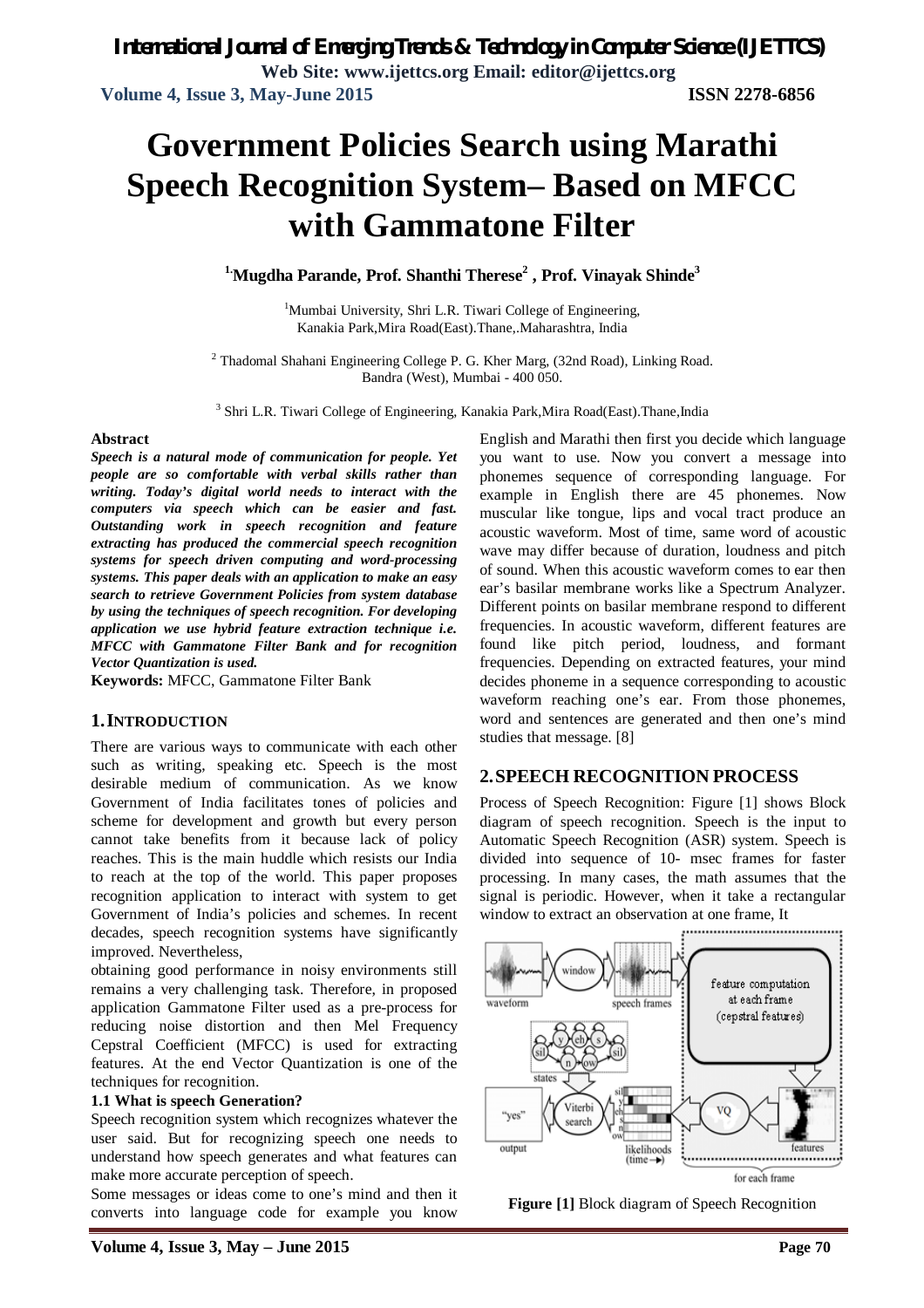# **Government Policies Search using Marathi Speech Recognition System– Based on MFCC with Gammatone Filter**

**1.Mugdha Parande, Prof. Shanthi Therese<sup>2</sup> , Prof. Vinayak Shinde<sup>3</sup>**

<sup>1</sup>Mumbai University, Shri L.R. Tiwari College of Engineering, Kanakia Park,Mira Road(East).Thane,.Maharashtra, India

<sup>2</sup> Thadomal Shahani Engineering College P. G. Kher Marg, (32nd Road), Linking Road. Bandra (West), Mumbai - 400 050.

<sup>3</sup> Shri L.R. Tiwari College of Engineering, Kanakia Park, Mira Road(East). Thane, India

#### **Abstract**

*Speech is a natural mode of communication for people. Yet people are so comfortable with verbal skills rather than writing. Today's digital world needs to interact with the computers via speech which can be easier and fast. Outstanding work in speech recognition and feature extracting has produced the commercial speech recognition systems for speech driven computing and word-processing systems. This paper deals with an application to make an easy search to retrieve Government Policies from system database by using the techniques of speech recognition. For developing application we use hybrid feature extraction technique i.e. MFCC with Gammatone Filter Bank and for recognition Vector Quantization is used.*

**Keywords:** MFCC, Gammatone Filter Bank

#### **1.INTRODUCTION**

There are various ways to communicate with each other such as writing, speaking etc. Speech is the most desirable medium of communication. As we know Government of India facilitates tones of policies and scheme for development and growth but every person cannot take benefits from it because lack of policy reaches. This is the main huddle which resists our India to reach at the top of the world. This paper proposes recognition application to interact with system to get Government of India's policies and schemes. In recent decades, speech recognition systems have significantly improved. Nevertheless,

obtaining good performance in noisy environments still remains a very challenging task. Therefore, in proposed application Gammatone Filter used as a pre-process for reducing noise distortion and then Mel Frequency Cepstral Coefficient (MFCC) is used for extracting features. At the end Vector Quantization is one of the techniques for recognition.

#### **1.1 What is speech Generation?**

Speech recognition system which recognizes whatever the user said. But for recognizing speech one needs to understand how speech generates and what features can make more accurate perception of speech.

Some messages or ideas come to one's mind and then it converts into language code for example you know

English and Marathi then first you decide which language you want to use. Now you convert a message into phonemes sequence of corresponding language. For example in English there are 45 phonemes. Now muscular like tongue, lips and vocal tract produce an acoustic waveform. Most of time, same word of acoustic wave may differ because of duration, loudness and pitch of sound. When this acoustic waveform comes to ear then ear's basilar membrane works like a Spectrum Analyzer. Different points on basilar membrane respond to different frequencies. In acoustic waveform, different features are found like pitch period, loudness, and formant frequencies. Depending on extracted features, your mind decides phoneme in a sequence corresponding to acoustic waveform reaching one's ear. From those phonemes, word and sentences are generated and then one's mind studies that message. [8]

#### **2.SPEECH RECOGNITION PROCESS**

Process of Speech Recognition: Figure [1] shows Block diagram of speech recognition. Speech is the input to Automatic Speech Recognition (ASR) system. Speech is divided into sequence of 10- msec frames for faster processing. In many cases, the math assumes that the signal is periodic. However, when it take a rectangular window to extract an observation at one frame, It



**Figure [1]** Block diagram of Speech Recognition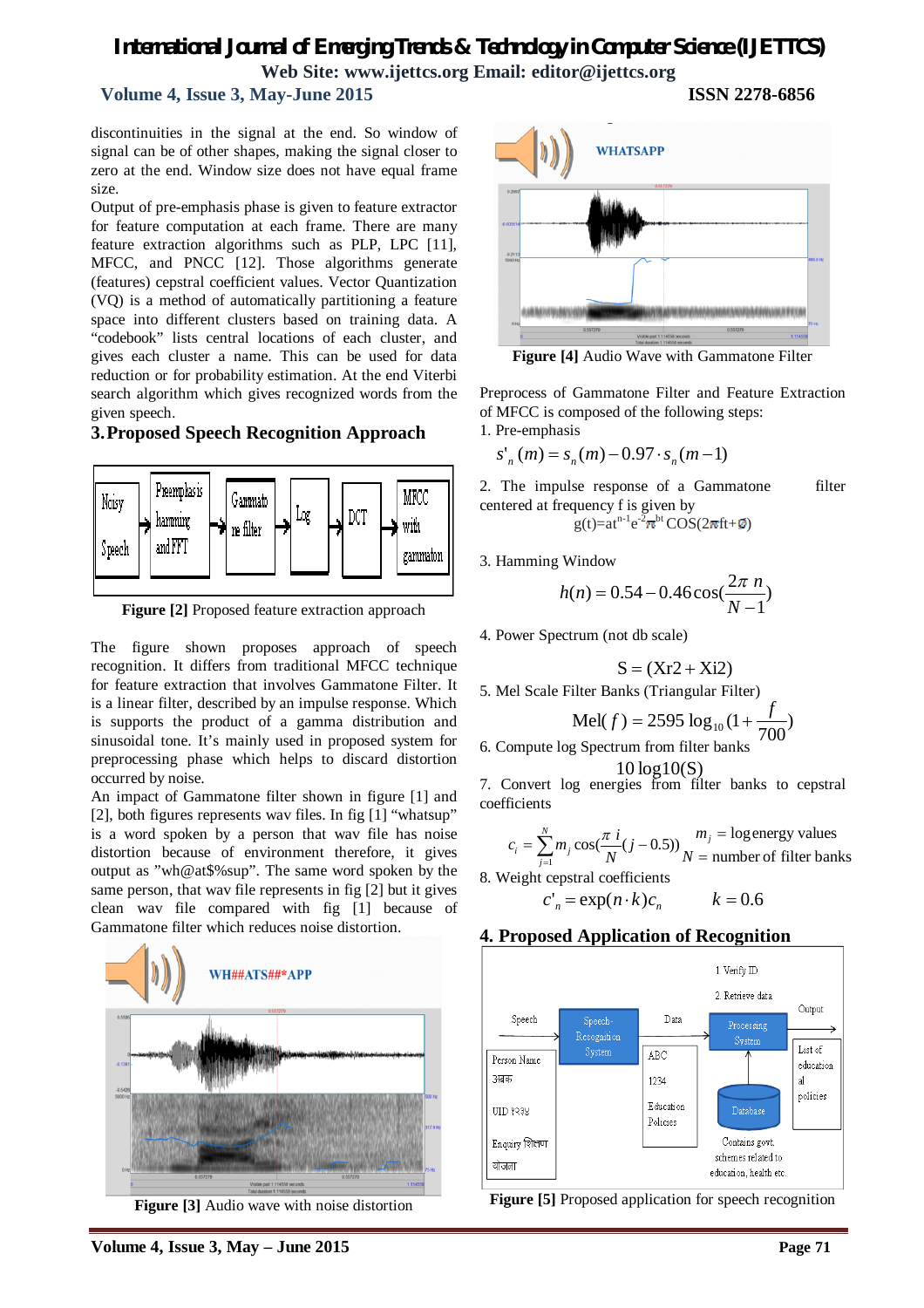#### **Volume 4, Issue 3, May-June 2015 ISSN 2278-6856**

discontinuities in the signal at the end. So window of signal can be of other shapes, making the signal closer to zero at the end. Window size does not have equal frame size.

Output of pre-emphasis phase is given to feature extractor for feature computation at each frame. There are many feature extraction algorithms such as PLP, LPC [11], MFCC, and PNCC [12]. Those algorithms generate (features) cepstral coefficient values. Vector Quantization (VQ) is a method of automatically partitioning a feature space into different clusters based on training data. A "codebook" lists central locations of each cluster, and gives each cluster a name. This can be used for data reduction or for probability estimation. At the end Viterbi search algorithm which gives recognized words from the given speech.

#### **3.Proposed Speech Recognition Approach**



**Figure [2]** Proposed feature extraction approach

The figure shown proposes approach of speech recognition. It differs from traditional MFCC technique for feature extraction that involves Gammatone Filter. It is a linear filter, described by an impulse response. Which is supports the product of a gamma distribution and sinusoidal tone. It's mainly used in proposed system for preprocessing phase which helps to discard distortion occurred by noise.

An impact of Gammatone filter shown in figure [1] and [2], both figures represents wav files. In fig [1] "whatsup" is a word spoken by a person that wav file has noise distortion because of environment therefore, it gives output as "wh@at\$%sup". The same word spoken by the same person, that wav file represents in fig [2] but it gives clean wav file compared with fig [1] because of Gammatone filter which reduces noise distortion.



**Figure [3]** Audio wave with noise distortion



**Figure [4]** Audio Wave with Gammatone Filter

Preprocess of Gammatone Filter and Feature Extraction of MFCC is composed of the following steps: 1. Pre-emphasis

$$
s'_n(m) = s_n(m) - 0.97 \cdot s_n(m-1)
$$

2. The impulse response of a Gammatone filter centered at frequency f is given by  $g(t)=at^{n-1}e^{-2\pi^{bt}}\text{COS}(2\pi ft+\emptyset)$ 

3. Hamming Window

$$
h(n) = 0.54 - 0.46 \cos(\frac{2\pi n}{N - 1})
$$

4. Power Spectrum (not db scale)

$$
S = (Xr2 + Xi2)
$$

5. Mel Scale Filter Banks (Triangular Filter)

$$
Mel(f) = 2595 log_{10}(1 + \frac{f}{700})
$$

6. Compute log Spectrum from filter banks

10 log10(S)

7. Convert log energies from filter banks to cepstral coefficients

$$
c_i = \sum_{j=1}^{N} m_j \cos(\frac{\pi i}{N} (j - 0.5)) \frac{m_j}{N} = \text{logenergy values}
$$

8. Weight cepstral coefficients

$$
c'_n = \exp(n \cdot k)c_n \qquad k = 0.6
$$

#### **4. Proposed Application of Recognition**



**Figure [5]** Proposed application for speech recognition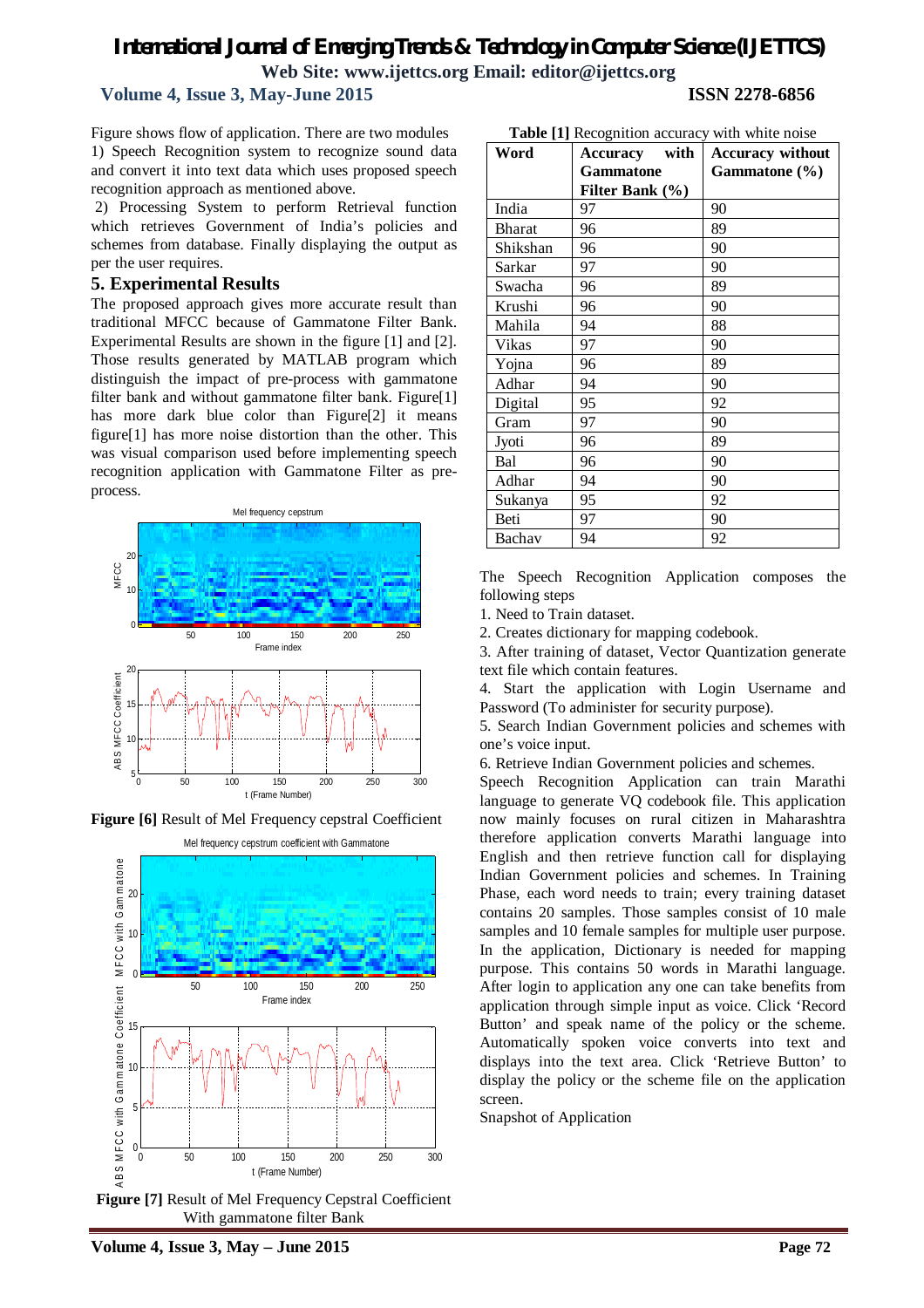#### **Volume 4, Issue 3, May-June 2015 ISSN 2278-6856**

Figure shows flow of application. There are two modules 1) Speech Recognition system to recognize sound data and convert it into text data which uses proposed speech recognition approach as mentioned above.

2) Processing System to perform Retrieval function which retrieves Government of India's policies and schemes from database. Finally displaying the output as per the user requires.

#### **5. Experimental Results**

The proposed approach gives more accurate result than traditional MFCC because of Gammatone Filter Bank. Experimental Results are shown in the figure [1] and [2]. Those results generated by MATLAB program which distinguish the impact of pre-process with gammatone filter bank and without gammatone filter bank. Figure[1] has more dark blue color than Figure[2] it means figure[1] has more noise distortion than the other. This was visual comparison used before implementing speech recognition application with Gammatone Filter as preprocess.



**Figure [6]** Result of Mel Frequency cepstral Coefficient



With gammatone filter Bank

| <b>Table</b> [1] Recognition accuracy with white noise |                         |                         |  |  |  |  |  |
|--------------------------------------------------------|-------------------------|-------------------------|--|--|--|--|--|
| Word                                                   | with<br><b>Accuracy</b> | <b>Accuracy without</b> |  |  |  |  |  |
|                                                        | <b>Gammatone</b>        | Gammatone (%)           |  |  |  |  |  |
|                                                        | Filter Bank (%)         |                         |  |  |  |  |  |
| India                                                  | 97                      | 90                      |  |  |  |  |  |
| <b>Bharat</b>                                          | 96                      | 89                      |  |  |  |  |  |
| Shikshan                                               | 96                      | 90                      |  |  |  |  |  |
| Sarkar                                                 | 97                      | 90                      |  |  |  |  |  |
| Swacha                                                 | 96                      | 89                      |  |  |  |  |  |
| Krushi                                                 | 96                      | 90                      |  |  |  |  |  |
| Mahila                                                 | 94                      | 88                      |  |  |  |  |  |
| Vikas                                                  | 97                      | 90                      |  |  |  |  |  |
| Yojna                                                  | 96                      | 89                      |  |  |  |  |  |
| Adhar                                                  | 94                      | 90                      |  |  |  |  |  |
| Digital                                                | 95                      | 92                      |  |  |  |  |  |
| Gram                                                   | 97                      | 90                      |  |  |  |  |  |
| Jyoti                                                  | 96                      | 89                      |  |  |  |  |  |
| Bal                                                    | 96                      | 90                      |  |  |  |  |  |
| Adhar                                                  | 94                      | 90                      |  |  |  |  |  |
| Sukanya                                                | 95                      | 92                      |  |  |  |  |  |
| Beti                                                   | 97                      | 90                      |  |  |  |  |  |
| Bachav                                                 | 94                      | 92                      |  |  |  |  |  |

The Speech Recognition Application composes the following steps

1. Need to Train dataset.

2. Creates dictionary for mapping codebook.

3. After training of dataset, Vector Quantization generate text file which contain features.

4. Start the application with Login Username and Password (To administer for security purpose).

5. Search Indian Government policies and schemes with one's voice input.

6. Retrieve Indian Government policies and schemes.

Speech Recognition Application can train Marathi language to generate VQ codebook file. This application now mainly focuses on rural citizen in Maharashtra therefore application converts Marathi language into English and then retrieve function call for displaying Indian Government policies and schemes. In Training Phase, each word needs to train; every training dataset contains 20 samples. Those samples consist of 10 male samples and 10 female samples for multiple user purpose. In the application, Dictionary is needed for mapping purpose. This contains 50 words in Marathi language. After login to application any one can take benefits from application through simple input as voice. Click 'Record Button' and speak name of the policy or the scheme. Automatically spoken voice converts into text and displays into the text area. Click 'Retrieve Button' to display the policy or the scheme file on the application screen.

Snapshot of Application

**Table [1]** Recognition accuracy with white noise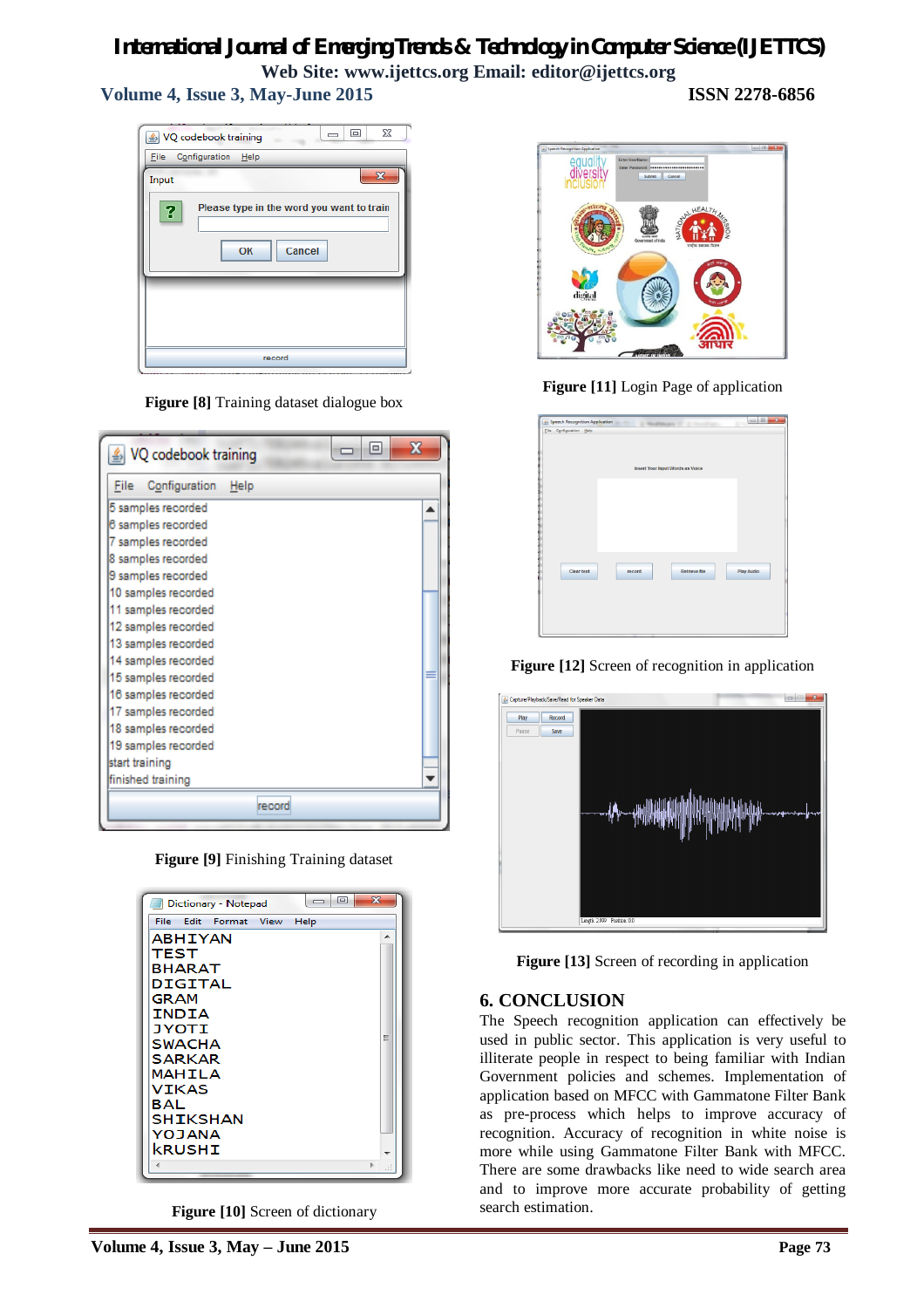#### **Volume 4, Issue 3, May-June 2015 ISSN 2278-6856**

 $\boxed{\blacksquare}$  $\overline{\mathbf{x}}$ VQ codebook training Eile Configuration Help  $\overline{\mathbf{x}}$ Input Please type in the word you want to train 3 OK Cancel record

**Figure [8]** Training dataset dialogue box

| X<br>$\Box$<br>VQ codebook training |        |  |  |  |  |  |
|-------------------------------------|--------|--|--|--|--|--|
| Configuration Help<br>File          |        |  |  |  |  |  |
| 5 samples recorded                  |        |  |  |  |  |  |
| 6 samples recorded                  |        |  |  |  |  |  |
| 7 samples recorded                  |        |  |  |  |  |  |
| 8 samples recorded                  |        |  |  |  |  |  |
| 9 samples recorded                  |        |  |  |  |  |  |
| 10 samples recorded                 |        |  |  |  |  |  |
| 11 samples recorded                 |        |  |  |  |  |  |
| 12 samples recorded                 |        |  |  |  |  |  |
| 13 samples recorded                 |        |  |  |  |  |  |
| 14 samples recorded                 |        |  |  |  |  |  |
| 15 samples recorded                 |        |  |  |  |  |  |
| 16 samples recorded                 |        |  |  |  |  |  |
| 17 samples recorded                 |        |  |  |  |  |  |
| 18 samples recorded                 |        |  |  |  |  |  |
| 19 samples recorded                 |        |  |  |  |  |  |
| start training                      |        |  |  |  |  |  |
| finished training                   |        |  |  |  |  |  |
|                                     | record |  |  |  |  |  |

**Figure [9]** Finishing Training dataset

| Dictionary - Notepad     | $\mathbf{X}$<br>回<br>$\overline{\phantom{0}}$ |
|--------------------------|-----------------------------------------------|
| File<br>Edit Format View | Help                                          |
| <b>ABHIYAN</b>           |                                               |
| TEST                     |                                               |
| <b>BHARAT</b>            |                                               |
| DIGITAL                  |                                               |
| <b>GRAM</b>              |                                               |
| INDIA                    |                                               |
| <b>JYOTI</b>             | Ξ                                             |
| <b>SWACHA</b>            |                                               |
| SARKAR                   |                                               |
| MAHILA                   |                                               |
| VIKAS                    |                                               |
| BAL                      |                                               |
| <b>SHIKSHAN</b>          |                                               |
| YOJANA                   |                                               |
| kRUSHI                   |                                               |
|                          | b.                                            |
|                          |                                               |

**Figure [10]** Screen of dictionary



**Figure [11]** Login Page of application

| 4. Speech Recognition Application<br>Eile Configuration Help |        | 2 Westmann St. 2 Stre            |                   |  |
|--------------------------------------------------------------|--------|----------------------------------|-------------------|--|
|                                                              |        | Insert Your Input Words as Voice |                   |  |
|                                                              |        |                                  |                   |  |
|                                                              |        |                                  |                   |  |
| <b>Clear text</b>                                            | record | <b>Retrieve file</b>             | <b>Play Audio</b> |  |
|                                                              |        |                                  |                   |  |

**Figure [12]** Screen of recognition in application



**Figure** [13] Screen of recording in application

#### **6. CONCLUSION**

The Speech recognition application can effectively be used in public sector. This application is very useful to illiterate people in respect to being familiar with Indian Government policies and schemes. Implementation of application based on MFCC with Gammatone Filter Bank as pre-process which helps to improve accuracy of recognition. Accuracy of recognition in white noise is more while using Gammatone Filter Bank with MFCC. There are some drawbacks like need to wide search area and to improve more accurate probability of getting search estimation.